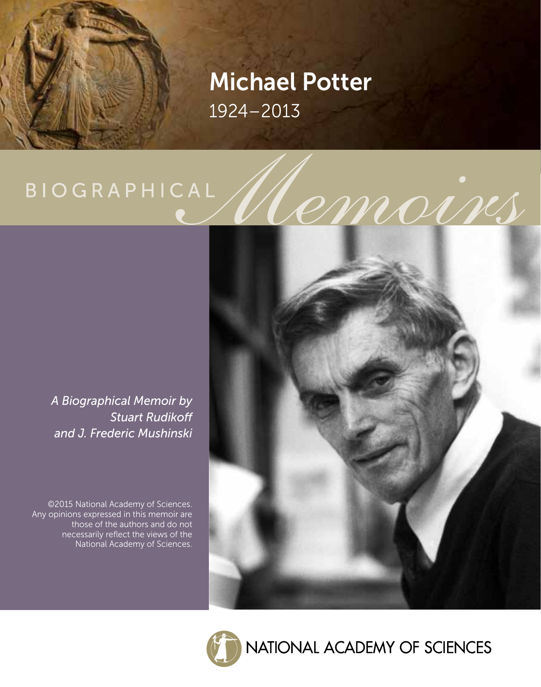## Michael Potter 1924–2013

# **BIOGRAPHICAL**

*A Biographical Memoir by Stuart Rudikoff and J. Frederic Mushinski*

©2015 National Academy of Sciences. Any opinions expressed in this memoir are those of the authors and do not necessarily reflect the views of the National Academy of Sciences.





NATIONAL ACADEMY OF SCIENCES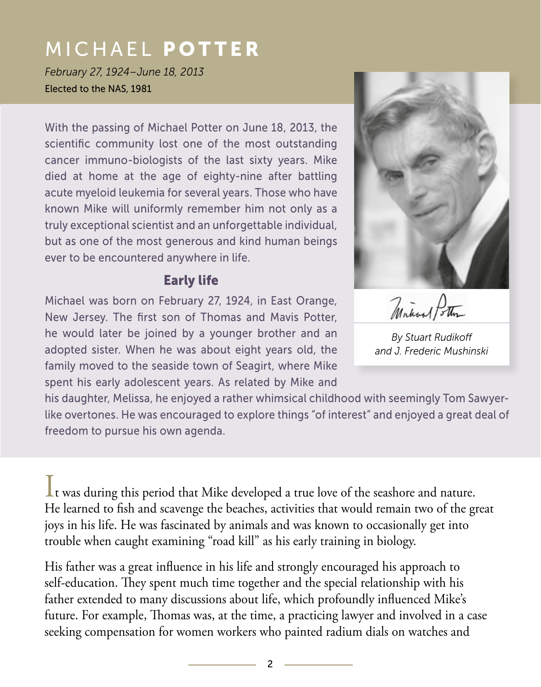*February 27, 1924–June 18, 2013* Elected to the NAS, 1981

With the passing of Michael Potter on June 18, 2013, the scientific community lost one of the most outstanding cancer immuno-biologists of the last sixty years. Mike died at home at the age of eighty-nine after battling acute myeloid leukemia for several years. Those who have known Mike will uniformly remember him not only as a truly exceptional scientist and an unforgettable individual, but as one of the most generous and kind human beings ever to be encountered anywhere in life.

## Early life

Michael was born on February 27, 1924, in East Orange, New Jersey. The first son of Thomas and Mavis Potter, he would later be joined by a younger brother and an adopted sister. When he was about eight years old, the family moved to the seaside town of Seagirt, where Mike spent his early adolescent years. As related by Mike and

his daughter, Melissa, he enjoyed a rather whimsical childhood with seemingly Tom Sawyerlike overtones. He was encouraged to explore things "of interest" and enjoyed a great deal of freedom to pursue his own agenda.

It was during this period that Mike developed a true love of the seashore and nature. He learned to fish and scavenge the beaches, activities that would remain two of the great joys in his life. He was fascinated by animals and was known to occasionally get into trouble when caught examining "road kill" as his early training in biology.

His father was a great influence in his life and strongly encouraged his approach to self-education. They spent much time together and the special relationship with his father extended to many discussions about life, which profoundly influenced Mike's future. For example, Thomas was, at the time, a practicing lawyer and involved in a case seeking compensation for women workers who painted radium dials on watches and



Minhoel Potter

*By Stuart Rudikoff and J. Frederic Mushinski*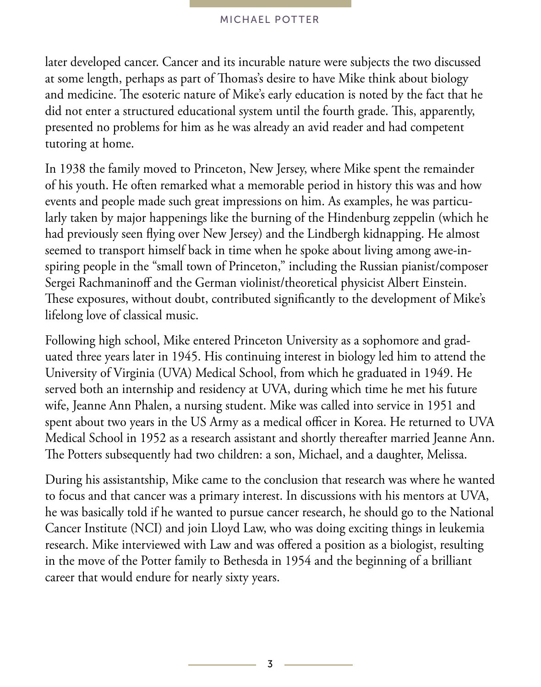later developed cancer. Cancer and its incurable nature were subjects the two discussed at some length, perhaps as part of Thomas's desire to have Mike think about biology and medicine. The esoteric nature of Mike's early education is noted by the fact that he did not enter a structured educational system until the fourth grade. This, apparently, presented no problems for him as he was already an avid reader and had competent tutoring at home.

In 1938 the family moved to Princeton, New Jersey, where Mike spent the remainder of his youth. He often remarked what a memorable period in history this was and how events and people made such great impressions on him. As examples, he was particularly taken by major happenings like the burning of the Hindenburg zeppelin (which he had previously seen flying over New Jersey) and the Lindbergh kidnapping. He almost seemed to transport himself back in time when he spoke about living among awe-inspiring people in the "small town of Princeton," including the Russian pianist/composer Sergei Rachmaninoff and the German violinist/theoretical physicist Albert Einstein. These exposures, without doubt, contributed significantly to the development of Mike's lifelong love of classical music.

Following high school, Mike entered Princeton University as a sophomore and graduated three years later in 1945. His continuing interest in biology led him to attend the University of Virginia (UVA) Medical School, from which he graduated in 1949. He served both an internship and residency at UVA, during which time he met his future wife, Jeanne Ann Phalen, a nursing student. Mike was called into service in 1951 and spent about two years in the US Army as a medical officer in Korea. He returned to UVA Medical School in 1952 as a research assistant and shortly thereafter married Jeanne Ann. The Potters subsequently had two children: a son, Michael, and a daughter, Melissa.

During his assistantship, Mike came to the conclusion that research was where he wanted to focus and that cancer was a primary interest. In discussions with his mentors at UVA, he was basically told if he wanted to pursue cancer research, he should go to the National Cancer Institute (NCI) and join Lloyd Law, who was doing exciting things in leukemia research. Mike interviewed with Law and was offered a position as a biologist, resulting in the move of the Potter family to Bethesda in 1954 and the beginning of a brilliant career that would endure for nearly sixty years.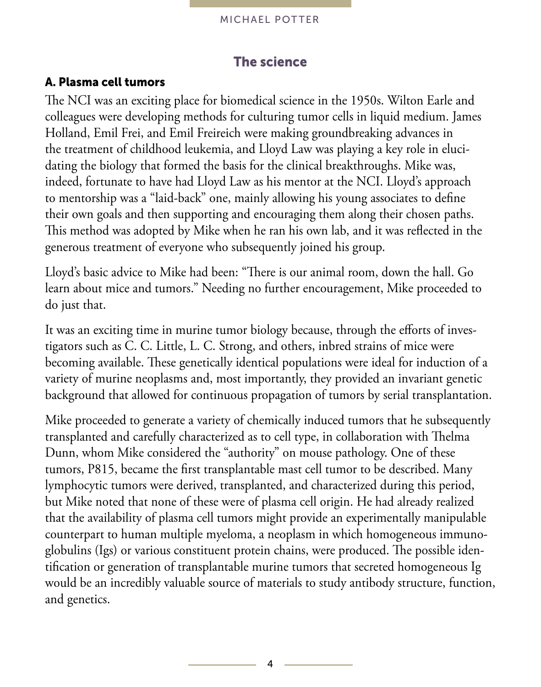

## The science

## A. Plasma cell tumors

The NCI was an exciting place for biomedical science in the 1950s. Wilton Earle and colleagues were developing methods for culturing tumor cells in liquid medium. James Holland, Emil Frei, and Emil Freireich were making groundbreaking advances in the treatment of childhood leukemia, and Lloyd Law was playing a key role in elucidating the biology that formed the basis for the clinical breakthroughs. Mike was, indeed, fortunate to have had Lloyd Law as his mentor at the NCI. Lloyd's approach to mentorship was a "laid-back" one, mainly allowing his young associates to define their own goals and then supporting and encouraging them along their chosen paths. This method was adopted by Mike when he ran his own lab, and it was reflected in the generous treatment of everyone who subsequently joined his group.

Lloyd's basic advice to Mike had been: "There is our animal room, down the hall. Go learn about mice and tumors." Needing no further encouragement, Mike proceeded to do just that.

It was an exciting time in murine tumor biology because, through the efforts of investigators such as C. C. Little, L. C. Strong, and others, inbred strains of mice were becoming available. These genetically identical populations were ideal for induction of a variety of murine neoplasms and, most importantly, they provided an invariant genetic background that allowed for continuous propagation of tumors by serial transplantation.

Mike proceeded to generate a variety of chemically induced tumors that he subsequently transplanted and carefully characterized as to cell type, in collaboration with Thelma Dunn, whom Mike considered the "authority" on mouse pathology. One of these tumors, P815, became the first transplantable mast cell tumor to be described. Many lymphocytic tumors were derived, transplanted, and characterized during this period, but Mike noted that none of these were of plasma cell origin. He had already realized that the availability of plasma cell tumors might provide an experimentally manipulable counterpart to human multiple myeloma, a neoplasm in which homogeneous immunoglobulins (Igs) or various constituent protein chains, were produced. The possible identification or generation of transplantable murine tumors that secreted homogeneous Ig would be an incredibly valuable source of materials to study antibody structure, function, and genetics.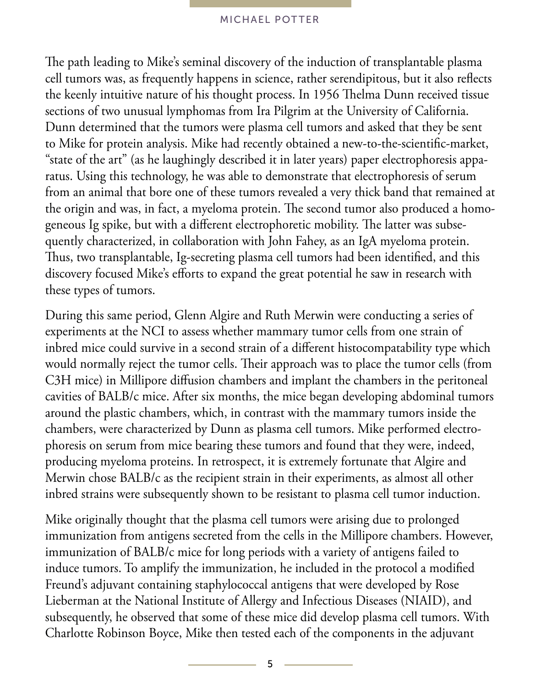The path leading to Mike's seminal discovery of the induction of transplantable plasma cell tumors was, as frequently happens in science, rather serendipitous, but it also reflects the keenly intuitive nature of his thought process. In 1956 Thelma Dunn received tissue sections of two unusual lymphomas from Ira Pilgrim at the University of California. Dunn determined that the tumors were plasma cell tumors and asked that they be sent to Mike for protein analysis. Mike had recently obtained a new-to-the-scientific-market, "state of the art" (as he laughingly described it in later years) paper electrophoresis apparatus. Using this technology, he was able to demonstrate that electrophoresis of serum from an animal that bore one of these tumors revealed a very thick band that remained at the origin and was, in fact, a myeloma protein. The second tumor also produced a homogeneous Ig spike, but with a different electrophoretic mobility. The latter was subsequently characterized, in collaboration with John Fahey, as an IgA myeloma protein. Thus, two transplantable, Ig-secreting plasma cell tumors had been identified, and this discovery focused Mike's efforts to expand the great potential he saw in research with these types of tumors.

During this same period, Glenn Algire and Ruth Merwin were conducting a series of experiments at the NCI to assess whether mammary tumor cells from one strain of inbred mice could survive in a second strain of a different histocompatability type which would normally reject the tumor cells. Their approach was to place the tumor cells (from C3H mice) in Millipore diffusion chambers and implant the chambers in the peritoneal cavities of BALB/c mice. After six months, the mice began developing abdominal tumors around the plastic chambers, which, in contrast with the mammary tumors inside the chambers, were characterized by Dunn as plasma cell tumors. Mike performed electrophoresis on serum from mice bearing these tumors and found that they were, indeed, producing myeloma proteins. In retrospect, it is extremely fortunate that Algire and Merwin chose BALB/c as the recipient strain in their experiments, as almost all other inbred strains were subsequently shown to be resistant to plasma cell tumor induction.

Mike originally thought that the plasma cell tumors were arising due to prolonged immunization from antigens secreted from the cells in the Millipore chambers. However, immunization of BALB/c mice for long periods with a variety of antigens failed to induce tumors. To amplify the immunization, he included in the protocol a modified Freund's adjuvant containing staphylococcal antigens that were developed by Rose Lieberman at the National Institute of Allergy and Infectious Diseases (NIAID), and subsequently, he observed that some of these mice did develop plasma cell tumors. With Charlotte Robinson Boyce, Mike then tested each of the components in the adjuvant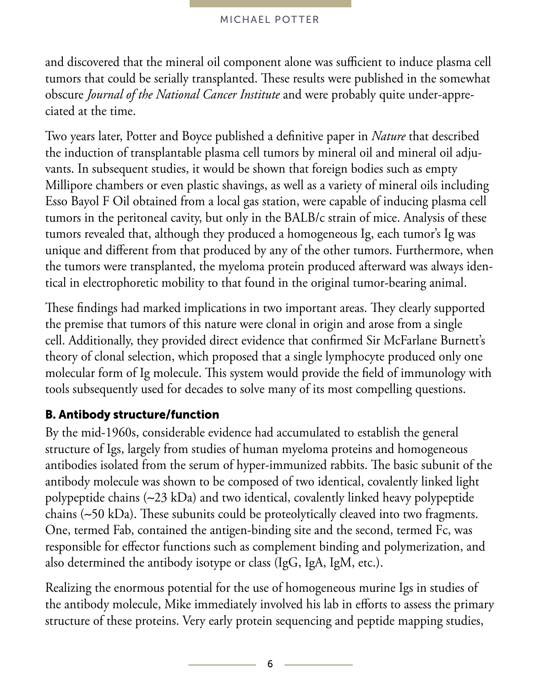and discovered that the mineral oil component alone was sufficient to induce plasma cell tumors that could be serially transplanted. These results were published in the somewhat obscure *Journal of the National Cancer Institute* and were probably quite under-appreciated at the time.

Two years later, Potter and Boyce published a definitive paper in *Nature* that described the induction of transplantable plasma cell tumors by mineral oil and mineral oil adjuvants. In subsequent studies, it would be shown that foreign bodies such as empty Millipore chambers or even plastic shavings, as well as a variety of mineral oils including Esso Bayol F Oil obtained from a local gas station, were capable of inducing plasma cell tumors in the peritoneal cavity, but only in the BALB/c strain of mice. Analysis of these tumors revealed that, although they produced a homogeneous Ig, each tumor's Ig was unique and different from that produced by any of the other tumors. Furthermore, when the tumors were transplanted, the myeloma protein produced afterward was always identical in electrophoretic mobility to that found in the original tumor-bearing animal.

These findings had marked implications in two important areas. They clearly supported the premise that tumors of this nature were clonal in origin and arose from a single cell. Additionally, they provided direct evidence that confirmed Sir McFarlane Burnett's theory of clonal selection, which proposed that a single lymphocyte produced only one molecular form of Ig molecule. This system would provide the field of immunology with tools subsequently used for decades to solve many of its most compelling questions.

## B. Antibody structure/function

By the mid-1960s, considerable evidence had accumulated to establish the general structure of Igs, largely from studies of human myeloma proteins and homogeneous antibodies isolated from the serum of hyper-immunized rabbits. The basic subunit of the antibody molecule was shown to be composed of two identical, covalently linked light polypeptide chains (∼23 kDa) and two identical, covalently linked heavy polypeptide chains (∼50 kDa). These subunits could be proteolytically cleaved into two fragments. One, termed Fab, contained the antigen-binding site and the second, termed Fc, was responsible for effector functions such as complement binding and polymerization, and also determined the antibody isotype or class (IgG, IgA, IgM, etc.).

Realizing the enormous potential for the use of homogeneous murine Igs in studies of the antibody molecule, Mike immediately involved his lab in efforts to assess the primary structure of these proteins. Very early protein sequencing and peptide mapping studies,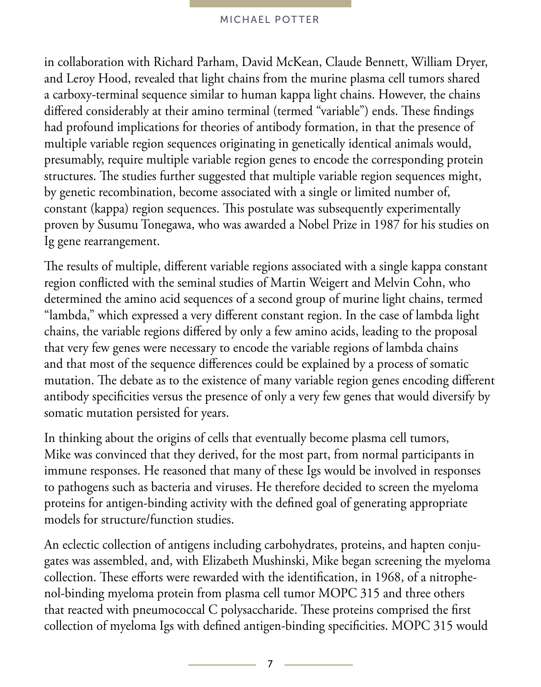in collaboration with Richard Parham, David McKean, Claude Bennett, William Dryer, and Leroy Hood, revealed that light chains from the murine plasma cell tumors shared a carboxy-terminal sequence similar to human kappa light chains. However, the chains differed considerably at their amino terminal (termed "variable") ends. These findings had profound implications for theories of antibody formation, in that the presence of multiple variable region sequences originating in genetically identical animals would, presumably, require multiple variable region genes to encode the corresponding protein structures. The studies further suggested that multiple variable region sequences might, by genetic recombination, become associated with a single or limited number of, constant (kappa) region sequences. This postulate was subsequently experimentally proven by Susumu Tonegawa, who was awarded a Nobel Prize in 1987 for his studies on Ig gene rearrangement.

The results of multiple, different variable regions associated with a single kappa constant region conflicted with the seminal studies of Martin Weigert and Melvin Cohn, who determined the amino acid sequences of a second group of murine light chains, termed "lambda," which expressed a very different constant region. In the case of lambda light chains, the variable regions differed by only a few amino acids, leading to the proposal that very few genes were necessary to encode the variable regions of lambda chains and that most of the sequence differences could be explained by a process of somatic mutation. The debate as to the existence of many variable region genes encoding different antibody specificities versus the presence of only a very few genes that would diversify by somatic mutation persisted for years.

In thinking about the origins of cells that eventually become plasma cell tumors, Mike was convinced that they derived, for the most part, from normal participants in immune responses. He reasoned that many of these Igs would be involved in responses to pathogens such as bacteria and viruses. He therefore decided to screen the myeloma proteins for antigen-binding activity with the defined goal of generating appropriate models for structure/function studies.

An eclectic collection of antigens including carbohydrates, proteins, and hapten conjugates was assembled, and, with Elizabeth Mushinski, Mike began screening the myeloma collection. These efforts were rewarded with the identification, in 1968, of a nitrophenol-binding myeloma protein from plasma cell tumor MOPC 315 and three others that reacted with pneumococcal C polysaccharide. These proteins comprised the first collection of myeloma Igs with defined antigen-binding specificities. MOPC 315 would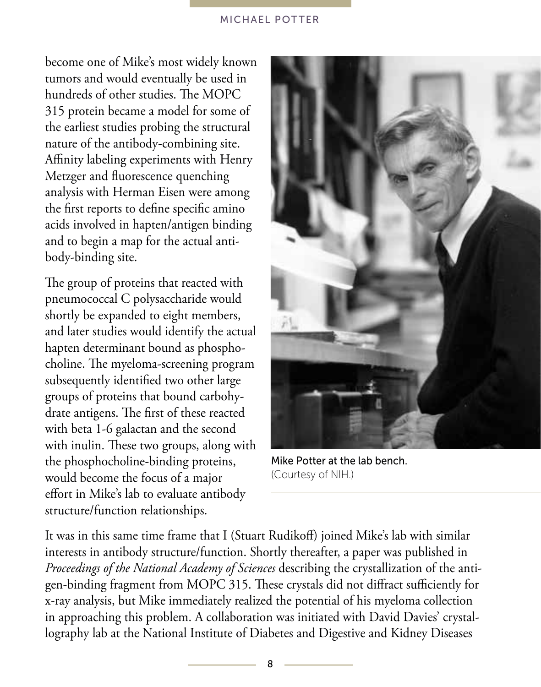become one of Mike's most widely known tumors and would eventually be used in hundreds of other studies. The MOPC 315 protein became a model for some of the earliest studies probing the structural nature of the antibody-combining site. Affinity labeling experiments with Henry Metzger and fluorescence quenching analysis with Herman Eisen were among the first reports to define specific amino acids involved in hapten/antigen binding and to begin a map for the actual antibody-binding site.

The group of proteins that reacted with pneumococcal C polysaccharide would shortly be expanded to eight members, and later studies would identify the actual hapten determinant bound as phosphocholine. The myeloma-screening program subsequently identified two other large groups of proteins that bound carbohydrate antigens. The first of these reacted with beta 1-6 galactan and the second with inulin. These two groups, along with the phosphocholine-binding proteins, would become the focus of a major effort in Mike's lab to evaluate antibody structure/function relationships.



Mike Potter at the lab bench. (Courtesy of NIH.)

It was in this same time frame that I (Stuart Rudikoff) joined Mike's lab with similar interests in antibody structure/function. Shortly thereafter, a paper was published in *Proceedings of the National Academy of Sciences* describing the crystallization of the antigen-binding fragment from MOPC 315. These crystals did not diffract sufficiently for x-ray analysis, but Mike immediately realized the potential of his myeloma collection in approaching this problem. A collaboration was initiated with David Davies' crystallography lab at the National Institute of Diabetes and Digestive and Kidney Diseases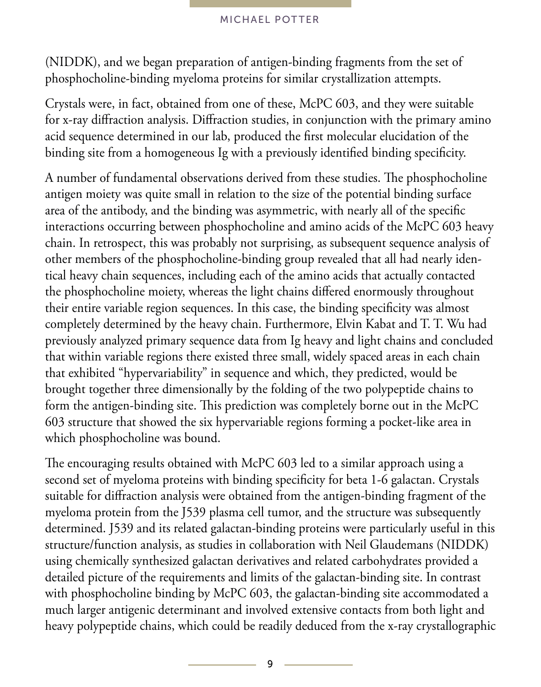(NIDDK), and we began preparation of antigen-binding fragments from the set of phosphocholine-binding myeloma proteins for similar crystallization attempts.

Crystals were, in fact, obtained from one of these, McPC 603, and they were suitable for x-ray diffraction analysis. Diffraction studies, in conjunction with the primary amino acid sequence determined in our lab, produced the first molecular elucidation of the binding site from a homogeneous Ig with a previously identified binding specificity.

A number of fundamental observations derived from these studies. The phosphocholine antigen moiety was quite small in relation to the size of the potential binding surface area of the antibody, and the binding was asymmetric, with nearly all of the specific interactions occurring between phosphocholine and amino acids of the McPC 603 heavy chain. In retrospect, this was probably not surprising, as subsequent sequence analysis of other members of the phosphocholine-binding group revealed that all had nearly identical heavy chain sequences, including each of the amino acids that actually contacted the phosphocholine moiety, whereas the light chains differed enormously throughout their entire variable region sequences. In this case, the binding specificity was almost completely determined by the heavy chain. Furthermore, Elvin Kabat and T. T. Wu had previously analyzed primary sequence data from Ig heavy and light chains and concluded that within variable regions there existed three small, widely spaced areas in each chain that exhibited "hypervariability" in sequence and which, they predicted, would be brought together three dimensionally by the folding of the two polypeptide chains to form the antigen-binding site. This prediction was completely borne out in the McPC 603 structure that showed the six hypervariable regions forming a pocket-like area in which phosphocholine was bound.

The encouraging results obtained with McPC 603 led to a similar approach using a second set of myeloma proteins with binding specificity for beta 1-6 galactan. Crystals suitable for diffraction analysis were obtained from the antigen-binding fragment of the myeloma protein from the J539 plasma cell tumor, and the structure was subsequently determined. J539 and its related galactan-binding proteins were particularly useful in this structure/function analysis, as studies in collaboration with Neil Glaudemans (NIDDK) using chemically synthesized galactan derivatives and related carbohydrates provided a detailed picture of the requirements and limits of the galactan-binding site. In contrast with phosphocholine binding by McPC 603, the galactan-binding site accommodated a much larger antigenic determinant and involved extensive contacts from both light and heavy polypeptide chains, which could be readily deduced from the x-ray crystallographic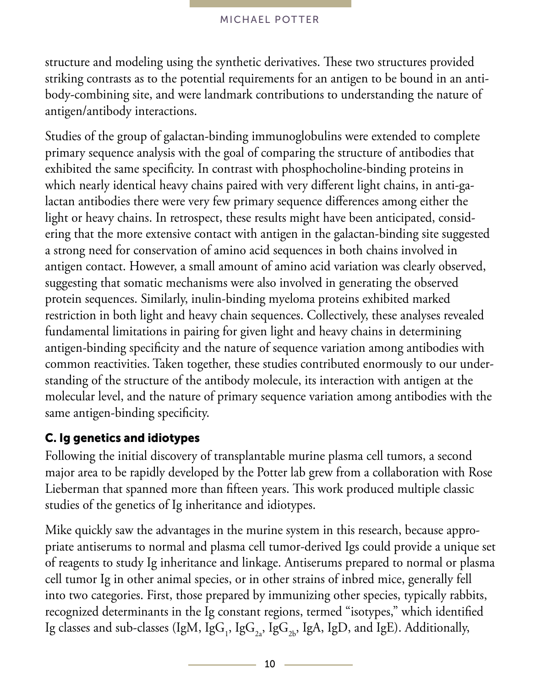structure and modeling using the synthetic derivatives. These two structures provided striking contrasts as to the potential requirements for an antigen to be bound in an antibody-combining site, and were landmark contributions to understanding the nature of antigen/antibody interactions.

Studies of the group of galactan-binding immunoglobulins were extended to complete primary sequence analysis with the goal of comparing the structure of antibodies that exhibited the same specificity. In contrast with phosphocholine-binding proteins in which nearly identical heavy chains paired with very different light chains, in anti-galactan antibodies there were very few primary sequence differences among either the light or heavy chains. In retrospect, these results might have been anticipated, considering that the more extensive contact with antigen in the galactan-binding site suggested a strong need for conservation of amino acid sequences in both chains involved in antigen contact. However, a small amount of amino acid variation was clearly observed, suggesting that somatic mechanisms were also involved in generating the observed protein sequences. Similarly, inulin-binding myeloma proteins exhibited marked restriction in both light and heavy chain sequences. Collectively, these analyses revealed fundamental limitations in pairing for given light and heavy chains in determining antigen-binding specificity and the nature of sequence variation among antibodies with common reactivities. Taken together, these studies contributed enormously to our understanding of the structure of the antibody molecule, its interaction with antigen at the molecular level, and the nature of primary sequence variation among antibodies with the same antigen-binding specificity.

### C. Ig genetics and idiotypes

Following the initial discovery of transplantable murine plasma cell tumors, a second major area to be rapidly developed by the Potter lab grew from a collaboration with Rose Lieberman that spanned more than fifteen years. This work produced multiple classic studies of the genetics of Ig inheritance and idiotypes.

Mike quickly saw the advantages in the murine system in this research, because appropriate antiserums to normal and plasma cell tumor-derived Igs could provide a unique set of reagents to study Ig inheritance and linkage. Antiserums prepared to normal or plasma cell tumor Ig in other animal species, or in other strains of inbred mice, generally fell into two categories. First, those prepared by immunizing other species, typically rabbits, recognized determinants in the Ig constant regions, termed "isotypes," which identified Ig classes and sub-classes (IgM, IgG<sub>1</sub>, IgG<sub>2a</sub>, IgG<sub>2b</sub>, IgA, IgD, and IgE). Additionally,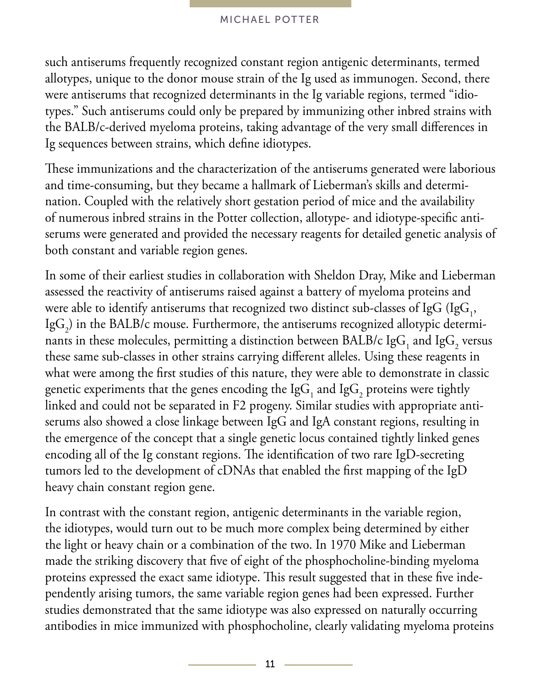such antiserums frequently recognized constant region antigenic determinants, termed allotypes, unique to the donor mouse strain of the Ig used as immunogen. Second, there were antiserums that recognized determinants in the Ig variable regions, termed "idiotypes." Such antiserums could only be prepared by immunizing other inbred strains with the BALB/c-derived myeloma proteins, taking advantage of the very small differences in Ig sequences between strains, which define idiotypes.

These immunizations and the characterization of the antiserums generated were laborious and time-consuming, but they became a hallmark of Lieberman's skills and determination. Coupled with the relatively short gestation period of mice and the availability of numerous inbred strains in the Potter collection, allotype- and idiotype-specific antiserums were generated and provided the necessary reagents for detailed genetic analysis of both constant and variable region genes.

In some of their earliest studies in collaboration with Sheldon Dray, Mike and Lieberman assessed the reactivity of antiserums raised against a battery of myeloma proteins and were able to identify antiserums that recognized two distinct sub-classes of IgG (IgG<sub>1</sub>, Ig $\mathrm{G}_2$ ) in the BALB/c mouse. Furthermore, the antiserums recognized allotypic determinants in these molecules, permitting a distinction between BALB/c Ig $\mathrm{G}_1$  and Ig $\mathrm{G}_2$  versus these same sub-classes in other strains carrying different alleles. Using these reagents in what were among the first studies of this nature, they were able to demonstrate in classic genetic experiments that the genes encoding the Ig $\mathrm{G}_1$  and Ig $\mathrm{G}_2$  proteins were tightly linked and could not be separated in F2 progeny. Similar studies with appropriate antiserums also showed a close linkage between IgG and IgA constant regions, resulting in the emergence of the concept that a single genetic locus contained tightly linked genes encoding all of the Ig constant regions. The identification of two rare IgD-secreting tumors led to the development of cDNAs that enabled the first mapping of the IgD heavy chain constant region gene.

In contrast with the constant region, antigenic determinants in the variable region, the idiotypes, would turn out to be much more complex being determined by either the light or heavy chain or a combination of the two. In 1970 Mike and Lieberman made the striking discovery that five of eight of the phosphocholine-binding myeloma proteins expressed the exact same idiotype. This result suggested that in these five independently arising tumors, the same variable region genes had been expressed. Further studies demonstrated that the same idiotype was also expressed on naturally occurring antibodies in mice immunized with phosphocholine, clearly validating myeloma proteins

 $11 -$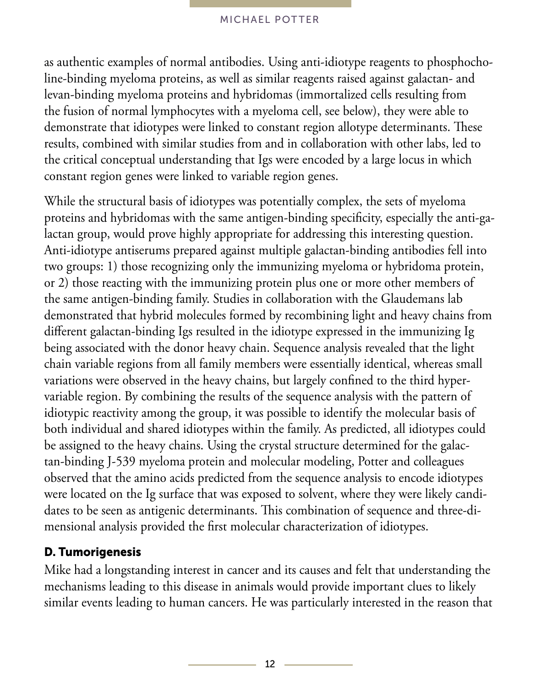as authentic examples of normal antibodies. Using anti-idiotype reagents to phosphocholine-binding myeloma proteins, as well as similar reagents raised against galactan- and levan-binding myeloma proteins and hybridomas (immortalized cells resulting from the fusion of normal lymphocytes with a myeloma cell, see below), they were able to demonstrate that idiotypes were linked to constant region allotype determinants. These results, combined with similar studies from and in collaboration with other labs, led to the critical conceptual understanding that Igs were encoded by a large locus in which constant region genes were linked to variable region genes.

While the structural basis of idiotypes was potentially complex, the sets of myeloma proteins and hybridomas with the same antigen-binding specificity, especially the anti-galactan group, would prove highly appropriate for addressing this interesting question. Anti-idiotype antiserums prepared against multiple galactan-binding antibodies fell into two groups: 1) those recognizing only the immunizing myeloma or hybridoma protein, or 2) those reacting with the immunizing protein plus one or more other members of the same antigen-binding family. Studies in collaboration with the Glaudemans lab demonstrated that hybrid molecules formed by recombining light and heavy chains from different galactan-binding Igs resulted in the idiotype expressed in the immunizing Ig being associated with the donor heavy chain. Sequence analysis revealed that the light chain variable regions from all family members were essentially identical, whereas small variations were observed in the heavy chains, but largely confined to the third hypervariable region. By combining the results of the sequence analysis with the pattern of idiotypic reactivity among the group, it was possible to identify the molecular basis of both individual and shared idiotypes within the family. As predicted, all idiotypes could be assigned to the heavy chains. Using the crystal structure determined for the galactan-binding J-539 myeloma protein and molecular modeling, Potter and colleagues observed that the amino acids predicted from the sequence analysis to encode idiotypes were located on the Ig surface that was exposed to solvent, where they were likely candidates to be seen as antigenic determinants. This combination of sequence and three-dimensional analysis provided the first molecular characterization of idiotypes.

### D. Tumorigenesis

Mike had a longstanding interest in cancer and its causes and felt that understanding the mechanisms leading to this disease in animals would provide important clues to likely similar events leading to human cancers. He was particularly interested in the reason that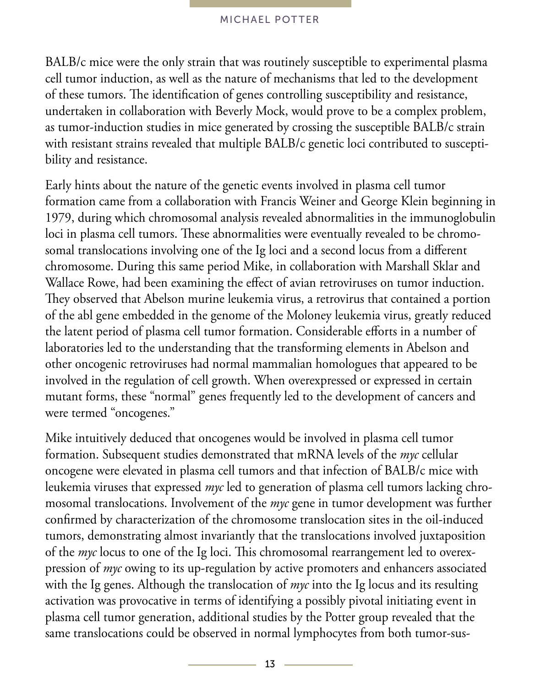BALB/c mice were the only strain that was routinely susceptible to experimental plasma cell tumor induction, as well as the nature of mechanisms that led to the development of these tumors. The identification of genes controlling susceptibility and resistance, undertaken in collaboration with Beverly Mock, would prove to be a complex problem, as tumor-induction studies in mice generated by crossing the susceptible BALB/c strain with resistant strains revealed that multiple BALB/c genetic loci contributed to susceptibility and resistance.

Early hints about the nature of the genetic events involved in plasma cell tumor formation came from a collaboration with Francis Weiner and George Klein beginning in 1979, during which chromosomal analysis revealed abnormalities in the immunoglobulin loci in plasma cell tumors. These abnormalities were eventually revealed to be chromosomal translocations involving one of the Ig loci and a second locus from a different chromosome. During this same period Mike, in collaboration with Marshall Sklar and Wallace Rowe, had been examining the effect of avian retroviruses on tumor induction. They observed that Abelson murine leukemia virus, a retrovirus that contained a portion of the abl gene embedded in the genome of the Moloney leukemia virus, greatly reduced the latent period of plasma cell tumor formation. Considerable efforts in a number of laboratories led to the understanding that the transforming elements in Abelson and other oncogenic retroviruses had normal mammalian homologues that appeared to be involved in the regulation of cell growth. When overexpressed or expressed in certain mutant forms, these "normal" genes frequently led to the development of cancers and were termed "oncogenes."

Mike intuitively deduced that oncogenes would be involved in plasma cell tumor formation. Subsequent studies demonstrated that mRNA levels of the *myc* cellular oncogene were elevated in plasma cell tumors and that infection of BALB/c mice with leukemia viruses that expressed *myc* led to generation of plasma cell tumors lacking chromosomal translocations. Involvement of the *myc* gene in tumor development was further confirmed by characterization of the chromosome translocation sites in the oil-induced tumors, demonstrating almost invariantly that the translocations involved juxtaposition of the *myc* locus to one of the Ig loci. This chromosomal rearrangement led to overexpression of *myc* owing to its up-regulation by active promoters and enhancers associated with the Ig genes. Although the translocation of *myc* into the Ig locus and its resulting activation was provocative in terms of identifying a possibly pivotal initiating event in plasma cell tumor generation, additional studies by the Potter group revealed that the same translocations could be observed in normal lymphocytes from both tumor-sus-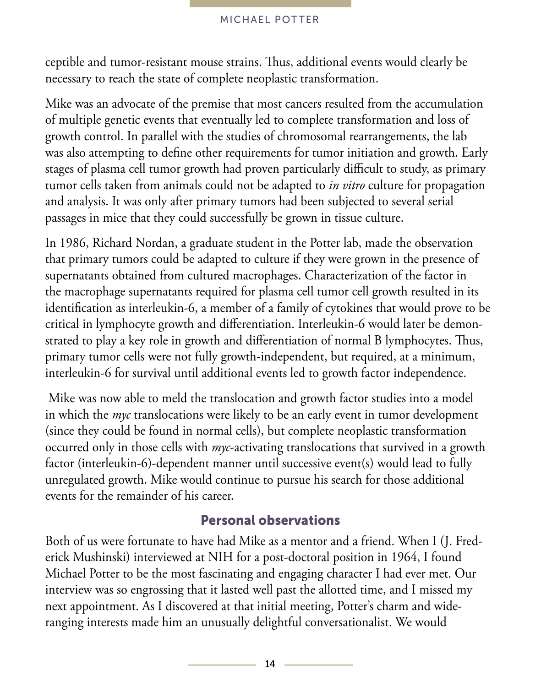ceptible and tumor-resistant mouse strains. Thus, additional events would clearly be necessary to reach the state of complete neoplastic transformation.

Mike was an advocate of the premise that most cancers resulted from the accumulation of multiple genetic events that eventually led to complete transformation and loss of growth control. In parallel with the studies of chromosomal rearrangements, the lab was also attempting to define other requirements for tumor initiation and growth. Early stages of plasma cell tumor growth had proven particularly difficult to study, as primary tumor cells taken from animals could not be adapted to *in vitro* culture for propagation and analysis. It was only after primary tumors had been subjected to several serial passages in mice that they could successfully be grown in tissue culture.

In 1986, Richard Nordan, a graduate student in the Potter lab, made the observation that primary tumors could be adapted to culture if they were grown in the presence of supernatants obtained from cultured macrophages. Characterization of the factor in the macrophage supernatants required for plasma cell tumor cell growth resulted in its identification as interleukin-6, a member of a family of cytokines that would prove to be critical in lymphocyte growth and differentiation. Interleukin-6 would later be demonstrated to play a key role in growth and differentiation of normal B lymphocytes. Thus, primary tumor cells were not fully growth-independent, but required, at a minimum, interleukin-6 for survival until additional events led to growth factor independence.

 Mike was now able to meld the translocation and growth factor studies into a model in which the *myc* translocations were likely to be an early event in tumor development (since they could be found in normal cells), but complete neoplastic transformation occurred only in those cells with *myc*-activating translocations that survived in a growth factor (interleukin-6)-dependent manner until successive event(s) would lead to fully unregulated growth. Mike would continue to pursue his search for those additional events for the remainder of his career.

## Personal observations

Both of us were fortunate to have had Mike as a mentor and a friend. When I (J. Frederick Mushinski) interviewed at NIH for a post-doctoral position in 1964, I found Michael Potter to be the most fascinating and engaging character I had ever met. Our interview was so engrossing that it lasted well past the allotted time, and I missed my next appointment. As I discovered at that initial meeting, Potter's charm and wideranging interests made him an unusually delightful conversationalist. We would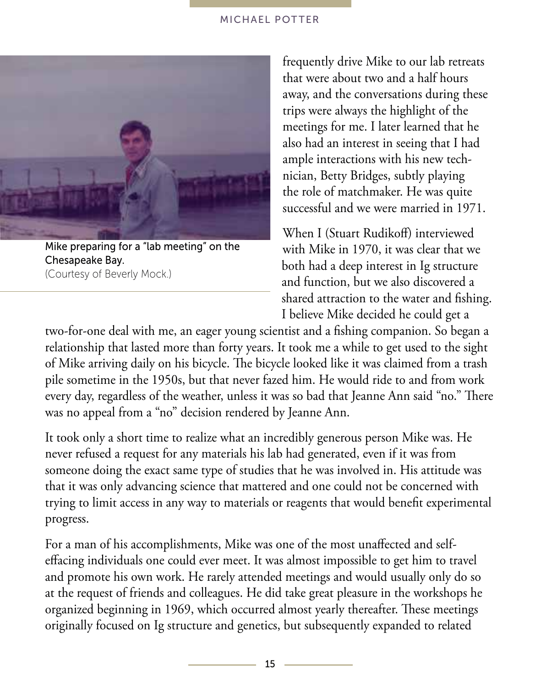

Mike preparing for a "lab meeting" on the Chesapeake Bay. (Courtesy of Beverly Mock.)

frequently drive Mike to our lab retreats that were about two and a half hours away, and the conversations during these trips were always the highlight of the meetings for me. I later learned that he also had an interest in seeing that I had ample interactions with his new technician, Betty Bridges, subtly playing the role of matchmaker. He was quite successful and we were married in 1971.

When I (Stuart Rudikoff) interviewed with Mike in 1970, it was clear that we both had a deep interest in Ig structure and function, but we also discovered a shared attraction to the water and fishing. I believe Mike decided he could get a

two-for-one deal with me, an eager young scientist and a fishing companion. So began a relationship that lasted more than forty years. It took me a while to get used to the sight of Mike arriving daily on his bicycle. The bicycle looked like it was claimed from a trash pile sometime in the 1950s, but that never fazed him. He would ride to and from work every day, regardless of the weather, unless it was so bad that Jeanne Ann said "no." There was no appeal from a "no" decision rendered by Jeanne Ann.

It took only a short time to realize what an incredibly generous person Mike was. He never refused a request for any materials his lab had generated, even if it was from someone doing the exact same type of studies that he was involved in. His attitude was that it was only advancing science that mattered and one could not be concerned with trying to limit access in any way to materials or reagents that would benefit experimental progress.

For a man of his accomplishments, Mike was one of the most unaffected and selfeffacing individuals one could ever meet. It was almost impossible to get him to travel and promote his own work. He rarely attended meetings and would usually only do so at the request of friends and colleagues. He did take great pleasure in the workshops he organized beginning in 1969, which occurred almost yearly thereafter. These meetings originally focused on Ig structure and genetics, but subsequently expanded to related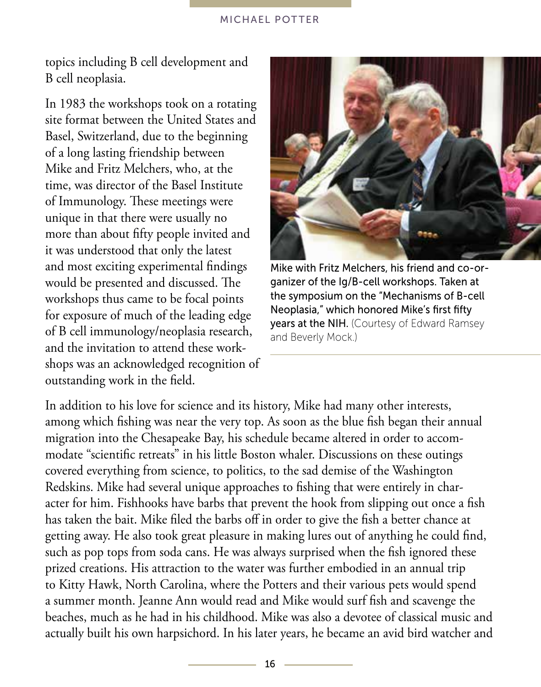topics including B cell development and B cell neoplasia.

In 1983 the workshops took on a rotating site format between the United States and Basel, Switzerland, due to the beginning of a long lasting friendship between Mike and Fritz Melchers, who, at the time, was director of the Basel Institute of Immunology. These meetings were unique in that there were usually no more than about fifty people invited and it was understood that only the latest and most exciting experimental findings would be presented and discussed. The workshops thus came to be focal points for exposure of much of the leading edge of B cell immunology/neoplasia research, and the invitation to attend these workshops was an acknowledged recognition of outstanding work in the field.



Mike with Fritz Melchers, his friend and co-organizer of the Ig/B-cell workshops. Taken at the symposium on the "Mechanisms of B-cell Neoplasia," which honored Mike's first fifty **years at the NIH.** (Courtesy of Edward Ramsey) and Beverly Mock.)

In addition to his love for science and its history, Mike had many other interests, among which fishing was near the very top. As soon as the blue fish began their annual migration into the Chesapeake Bay, his schedule became altered in order to accommodate "scientific retreats" in his little Boston whaler. Discussions on these outings covered everything from science, to politics, to the sad demise of the Washington Redskins. Mike had several unique approaches to fishing that were entirely in character for him. Fishhooks have barbs that prevent the hook from slipping out once a fish has taken the bait. Mike filed the barbs off in order to give the fish a better chance at getting away. He also took great pleasure in making lures out of anything he could find, such as pop tops from soda cans. He was always surprised when the fish ignored these prized creations. His attraction to the water was further embodied in an annual trip to Kitty Hawk, North Carolina, where the Potters and their various pets would spend a summer month. Jeanne Ann would read and Mike would surf fish and scavenge the beaches, much as he had in his childhood. Mike was also a devotee of classical music and actually built his own harpsichord. In his later years, he became an avid bird watcher and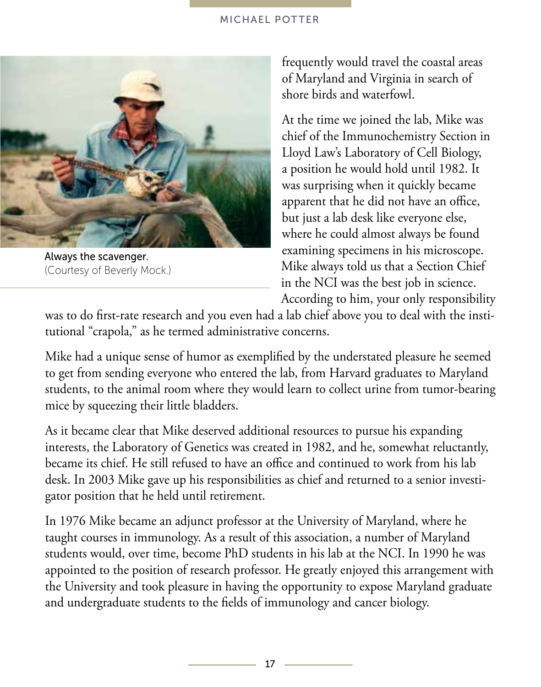

Always the scavenger. (Courtesy of Beverly Mock.)

frequently would travel the coastal areas of Maryland and Virginia in search of shore birds and waterfowl.

At the time we joined the lab, Mike was chief of the Immunochemistry Section in Lloyd Law's Laboratory of Cell Biology, a position he would hold until 1982. It was surprising when it quickly became apparent that he did not have an office, but just a lab desk like everyone else, where he could almost always be found examining specimens in his microscope. Mike always told us that a Section Chief in the NCI was the best job in science. According to him, your only responsibility

was to do first-rate research and you even had a lab chief above you to deal with the institutional "crapola," as he termed administrative concerns.

Mike had a unique sense of humor as exemplified by the understated pleasure he seemed to get from sending everyone who entered the lab, from Harvard graduates to Maryland students, to the animal room where they would learn to collect urine from tumor-bearing mice by squeezing their little bladders.

As it became clear that Mike deserved additional resources to pursue his expanding interests, the Laboratory of Genetics was created in 1982, and he, somewhat reluctantly, became its chief. He still refused to have an office and continued to work from his lab desk. In 2003 Mike gave up his responsibilities as chief and returned to a senior investigator position that he held until retirement.

In 1976 Mike became an adjunct professor at the University of Maryland, where he taught courses in immunology. As a result of this association, a number of Maryland students would, over time, become PhD students in his lab at the NCI. In 1990 he was appointed to the position of research professor. He greatly enjoyed this arrangement with the University and took pleasure in having the opportunity to expose Maryland graduate and undergraduate students to the fields of immunology and cancer biology.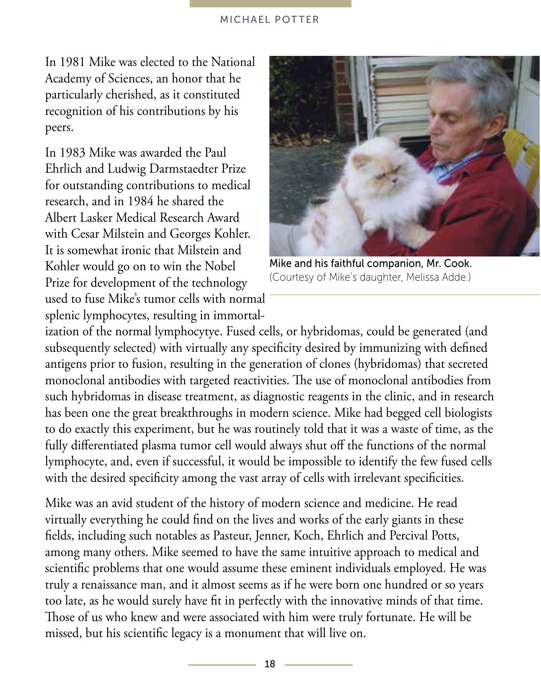In 1981 Mike was elected to the National Academy of Sciences, an honor that he particularly cherished, as it constituted recognition of his contributions by his peers.

In 1983 Mike was awarded the Paul Ehrlich and Ludwig Darmstaedter Prize for outstanding contributions to medical research, and in 1984 he shared the Albert Lasker Medical Research Award with Cesar Milstein and Georges Kohler. It is somewhat ironic that Milstein and Kohler would go on to win the Nobel Prize for development of the technology used to fuse Mike's tumor cells with normal splenic lymphocytes, resulting in immortal-



Mike and his faithful companion, Mr. Cook. (Courtesy of Mike's daughter, Melissa Adde.)

ization of the normal lymphocytye. Fused cells, or hybridomas, could be generated (and subsequently selected) with virtually any specificity desired by immunizing with defined antigens prior to fusion, resulting in the generation of clones (hybridomas) that secreted monoclonal antibodies with targeted reactivities. The use of monoclonal antibodies from such hybridomas in disease treatment, as diagnostic reagents in the clinic, and in research has been one the great breakthroughs in modern science. Mike had begged cell biologists to do exactly this experiment, but he was routinely told that it was a waste of time, as the fully differentiated plasma tumor cell would always shut off the functions of the normal lymphocyte, and, even if successful, it would be impossible to identify the few fused cells with the desired specificity among the vast array of cells with irrelevant specificities.

Mike was an avid student of the history of modern science and medicine. He read virtually everything he could find on the lives and works of the early giants in these fields, including such notables as Pasteur, Jenner, Koch, Ehrlich and Percival Potts, among many others. Mike seemed to have the same intuitive approach to medical and scientific problems that one would assume these eminent individuals employed. He was truly a renaissance man, and it almost seems as if he were born one hundred or so years too late, as he would surely have fit in perfectly with the innovative minds of that time. Those of us who knew and were associated with him were truly fortunate. He will be missed, but his scientific legacy is a monument that will live on.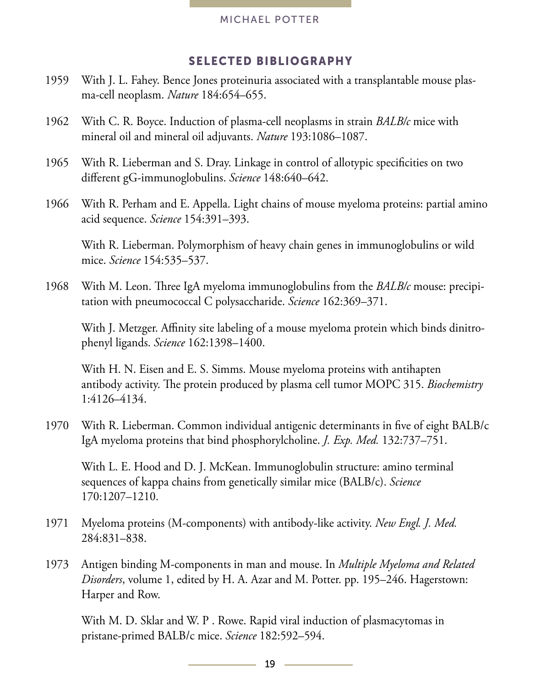#### SELECTED BIBLIOGRAPHY

- 1959 With J. L. Fahey. Bence Jones proteinuria associated with a transplantable mouse plasma-cell neoplasm. *Nature* 184:654–655.
- 1962 With C. R. Boyce. Induction of plasma-cell neoplasms in strain *BALB/c* mice with mineral oil and mineral oil adjuvants. *Nature* 193:1086–1087.
- 1965 With R. Lieberman and S. Dray. Linkage in control of allotypic specificities on two different gG-immunoglobulins. *Science* 148:640–642.
- 1966 With R. Perham and E. Appella. Light chains of mouse myeloma proteins: partial amino acid sequence. *Science* 154:391–393.

With R. Lieberman. Polymorphism of heavy chain genes in immunoglobulins or wild mice. *Science* 154:535–537.

1968 With M. Leon. Three IgA myeloma immunoglobulins from the *BALB/c* mouse: precipitation with pneumococcal C polysaccharide. *Science* 162:369–371.

With J. Metzger. Affinity site labeling of a mouse myeloma protein which binds dinitrophenyl ligands. *Science* 162:1398–1400.

With H. N. Eisen and E. S. Simms. Mouse myeloma proteins with antihapten antibody activity. The protein produced by plasma cell tumor MOPC 315. *Biochemistry*  1:4126–4134.

1970 With R. Lieberman. Common individual antigenic determinants in five of eight BALB/c IgA myeloma proteins that bind phosphorylcholine. *J. Exp. Med.* 132:737–751.

With L. E. Hood and D. J. McKean. Immunoglobulin structure: amino terminal sequences of kappa chains from genetically similar mice (BALB/c). *Science* 170:1207–1210.

- 1971 Myeloma proteins (M-components) with antibody-like activity. *New Engl. J. Med.*  284:831–838.
- 1973 Antigen binding M-components in man and mouse. In *Multiple Myeloma and Related Disorders*, volume 1, edited by H. A. Azar and M. Potter. pp. 195–246. Hagerstown: Harper and Row.

With M. D. Sklar and W. P . Rowe. Rapid viral induction of plasmacytomas in pristane-primed BALB/c mice. *Science* 182:592–594.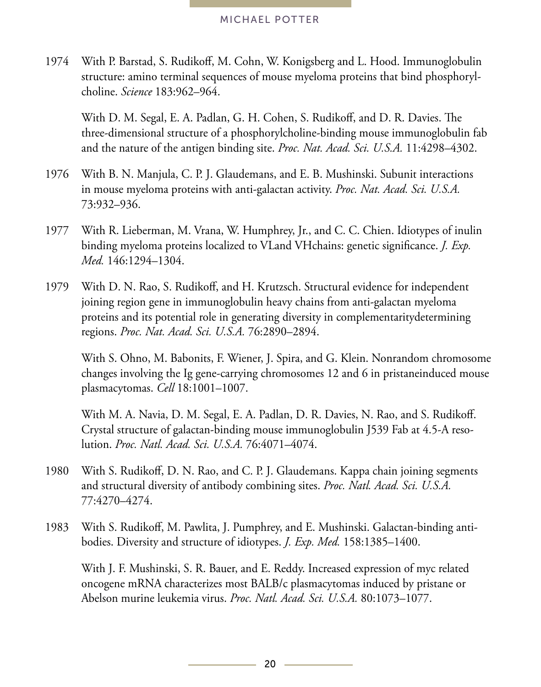1974 With P. Barstad, S. Rudikoff, M. Cohn, W. Konigsberg and L. Hood. Immunoglobulin structure: amino terminal sequences of mouse myeloma proteins that bind phosphorylcholine. *Science* 183:962–964.

With D. M. Segal, E. A. Padlan, G. H. Cohen, S. Rudikoff, and D. R. Davies. The three-dimensional structure of a phosphorylcholine-binding mouse immunoglobulin fab and the nature of the antigen binding site. *Proc. Nat. Acad. Sci. U.S.A.* 11:4298–4302.

- 1976 With B. N. Manjula, C. P. J. Glaudemans, and E. B. Mushinski. Subunit interactions in mouse myeloma proteins with anti-galactan activity. *Proc. Nat. Acad. Sci. U.S.A.*  73:932–936.
- 1977 With R. Lieberman, M. Vrana, W. Humphrey, Jr., and C. C. Chien. Idiotypes of inulin binding myeloma proteins localized to VLand VHchains: genetic significance. *J. Exp. Med.* 146:1294–1304.
- 1979 With D. N. Rao, S. Rudikoff, and H. Krutzsch. Structural evidence for independent joining region gene in immunoglobulin heavy chains from anti-galactan myeloma proteins and its potential role in generating diversity in complementaritydetermining regions. *Proc. Nat. Acad. Sci. U.S.A.* 76:2890–2894.

With S. Ohno, M. Babonits, F. Wiener, J. Spira, and G. Klein. Nonrandom chromosome changes involving the Ig gene-carrying chromosomes 12 and 6 in pristaneinduced mouse plasmacytomas. *Cell* 18:1001–1007.

With M. A. Navia, D. M. Segal, E. A. Padlan, D. R. Davies, N. Rao, and S. Rudikoff. Crystal structure of galactan-binding mouse immunoglobulin J539 Fab at 4.5-A resolution. *Proc. Natl. Acad. Sci. U.S.A.* 76:4071–4074.

- 1980 With S. Rudikoff, D. N. Rao, and C. P. J. Glaudemans. Kappa chain joining segments and structural diversity of antibody combining sites. *Proc. Natl. Acad. Sci. U.S.A.*  77:4270–4274.
- 1983 With S. Rudikoff, M. Pawlita, J. Pumphrey, and E. Mushinski. Galactan-binding antibodies. Diversity and structure of idiotypes. *J. Exp. Med.* 158:1385–1400.

With J. F. Mushinski, S. R. Bauer, and E. Reddy. Increased expression of myc related oncogene mRNA characterizes most BALB/c plasmacytomas induced by pristane or Abelson murine leukemia virus. *Proc. Natl. Acad. Sci. U.S.A.* 80:1073–1077.